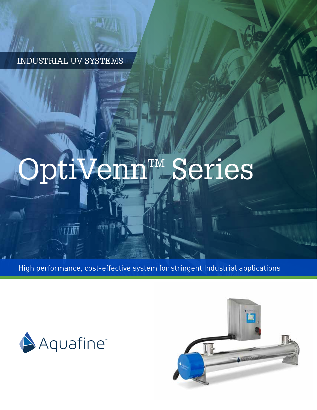INDUSTRIAL UV SYSTEMS

**Lett** 

WWW.

nim ni

# OptiVennTM Series

High performance, cost-effective system for stringent Industrial applications



<u>tri illi</u>

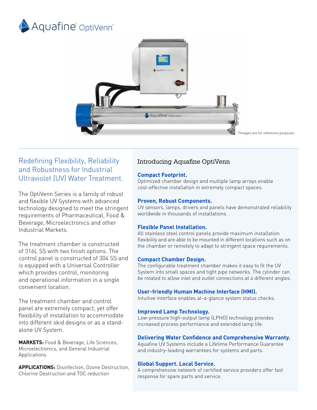



# Redefining Flexibility, Reliability and Robustness for Industrial Ultraviolet (UV) Water Treatment.

The OptiVenn Series is a family of robust and flexible UV Systems with advanced technology designed to meet the stringent requirements of Pharmaceutical, Food & Beverage, Microelectronics and other Industrial Markets.

The treatment chamber is constructed of 316L SS with two finish options. The control panel is constructed of 304 SS and is equipped with a Universal Controller which provides control, monitoring and operational information in a single convenient location.

The treatment chamber and control panel are extremely compact, yet offer flexibility of installation to accommodate into different skid designs or as a standalone UV System.

**MARKETS:** Food & Beverage, Life Sciences, Microelectronics, and General Industrial Applications

**APPLICATIONS:** Disinfection, Ozone Destruction, Chlorine Destruction and TOC reduction

# Introducing Aquafine OptiVenn

#### **Compact Footprint.**

Optimized chamber design and multiple lamp arrays enable cost-effective installation in extremely compact spaces.

#### **Proven, Robust Components.**

UV sensors, lamps, drivers and panels have demonstrated reliability worldwide in thousands of installations.

#### **Flexible Panel Installation.**

All stainless steel control panels provide maximum installation flexibility and are able to be mounted in different locations such as on the chamber or remotely to adapt to stringent space requirements.

#### **Compact Chamber Design.**

The configurable treatment chamber makes it easy to fit the UV System into small spaces and tight pipe networks. The cylinder can be rotated to allow inlet and outlet connections at 4 different angles.

#### **User-friendly Human Machine Interface (HMI).**

Intuitive interface enables at-a-glance system status checks.

#### **Improved Lamp Technology.**

Low-pressure high-output lamp (LPHO) technology provides increased process performance and extended lamp life.

#### **Delivering Water Confidence and Comprehensive Warranty.**

Aquafine UV Systems include a Lifetime Performance Guarantee and industry-leading warrantees for systems and parts.

#### **Global Support. Local Service.**

A comprehensive network of certified service providers offer fast response for spare parts and service.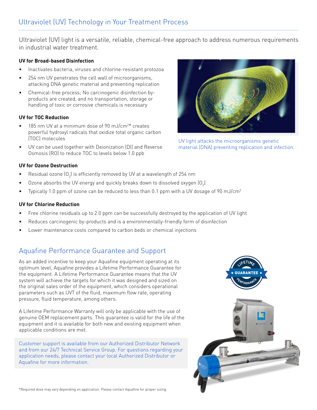Ultraviolet (UV) light is a versatile, reliable, chemical-free approach to address numerous requirements in industrial water treatment.

#### **UV for Broad-based Disinfection**

- Inactivates bacteria, viruses and chlorine-resistant protozoa
- 254 nm UV penetrates the cell wall of microorganisms, attacking DNA genetic material and preventing replication
- Chemical-free process; No carcinogenic disinfection byproducts are created, and no transportation, storage or handling of toxic or corrosive chemicals is necessary

#### **UV for TOC Reduction**

- 185 nm UV at a minimum dose of 90 mJ/cm<sup>2\*</sup> creates powerful hydroxyl radicals that oxidize total organic carbon (TOC) molecules
- UV can be used together with Deionization (DI) and Reverse Osmosis (RO) to reduce TOC to levels below 1.0 ppb

### **UV for Ozone Destruction**

- Residual ozone  $(0_{3})$  is efficiently removed by UV at a wavelength of 254 nm
- $\bullet$   $\;\;$  Ozone absorbs the UV energy and quickly breaks down to dissolved oxygen (O $_2$ )
- Typically 1.0 ppm of ozone can be reduced to less than 0.1 ppm with a UV dosage of 90 mJ/cm<sup>2</sup>

#### **UV for Chlorine Reduction**

- Free chlorine residuals up to 2.0 ppm can be successfully destroyed by the application of UV light
- Reduces carcinogenic by-products and is a environmentally-friendly form of disinfection
- Lower maintenance costs compared to carbon beds or chemical injections

# Aquafine Performance Guarantee and Support

As an added incentive to keep your Aquafine equipment operating at its optimum level, Aquafine provides a Lifetime Performance Guarantee for the equipment. A Lifetime Performance Guarantee means that the UV system will achieve the targets for which it was designed and sized on the original sales order of the equipment, which considers operational parameters such as UVT of the fluid, maximum flow rate, operating pressure, fluid temperature, among others.

A Lifetime Performance Warranty will only be applicable with the use of genuine OEM replacement parts. This guarantee is valid for the life of the equipment and it is available for both new and existing equipment when applicable conditions are met.

Customer support is available from our Authorized Distributor Network and from our 24/7 Technical Service Group. For questions regarding your application needs, please contact your local Authorized Distributor or Aquafine for more information.





UV light attacks the microorganisms genetic material (DNA) preventing replication and infection.

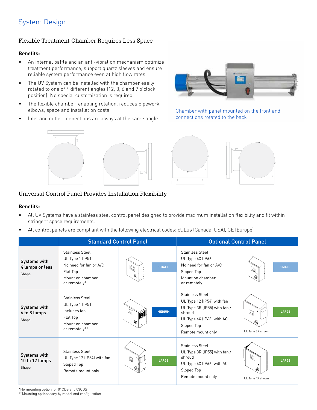#### Flexible Treatment Chamber Requires Less Space

#### **Benefits:**

- An internal baffle and an anti-vibration mechanism optimize treatment performance, support quartz sleeves and ensure reliable system performance even at high flow rates.
- The UV System can be installed with the chamber easily rotated to one of 4 different angles (12, 3, 6 and 9 o'clock position). No special customization is required.
- The flexible chamber, enabling rotation, reduces pipework, elbows, space and installation costs
- Inlet and outlet connections are always at the same angle





Chamber with panel mounted on the front and connections rotated to the back



#### Universal Control Panel Provides Installation Flexibility

#### **Benefits:**

- All UV Systems have a stainless steel control panel designed to provide maximum installation flexibility and fit within stringent space requirements.
- All control panels are compliant with the following electrical codes: cULus (Canada, USA), CE (Europe)

|                                          | <b>Standard Control Panel</b>                                                                                        |                        | <b>Optional Control Panel</b>                                                                                                                                  |                                |  |  |  |
|------------------------------------------|----------------------------------------------------------------------------------------------------------------------|------------------------|----------------------------------------------------------------------------------------------------------------------------------------------------------------|--------------------------------|--|--|--|
| Systems with<br>4 lamps or less<br>Shape | <b>Stainless Steel</b><br>UL Type 1 (IP51)<br>No need for fan or A/C<br>Flat Top<br>Mount on chamber<br>or remotely* | <b>SMALL</b><br>Q<br>Ð | <b>Stainless Steel</b><br>UL Type 4X (IP66)<br>No need for fan or A/C<br>Sloped Top<br>Mount on chamber<br>or remotely                                         | <b>SMALL</b>                   |  |  |  |
| Systems with<br>6 to 8 lamps<br>Shape    | <b>Stainless Steel</b><br>UL Type 1 (IP51)<br>Includes fan<br>Flat Top<br>Mount on chamber<br>or remotely**          | <b>MEDIUM</b>          | <b>Stainless Steel</b><br>UL Type 12 (IP54) with fan<br>UL Type 3R (IP55) with fan /<br>shroud<br>UL Type 4X (IP66) with AC<br>Sloped Top<br>Remote mount only | LARGE<br>Q<br>UL Type 3R shown |  |  |  |
| Systems with<br>10 to 12 lamps<br>Shape  | <b>Stainless Steel</b><br>UL Type 12 (IP54) with fan<br>Sloped Top<br>Remote mount only                              | Q<br>LARGE             | <b>Stainless Steel</b><br>UL Type 3R (IP55) with fan /<br>shroud<br>UL Type 4X (IP66) with AC<br>Sloped Top<br>Remote mount only                               | D<br>LARGE<br>UL Type 4X shown |  |  |  |

\*No mounting option for 01CDS and 03CDS

\*\*Mounting options vary by model and configuration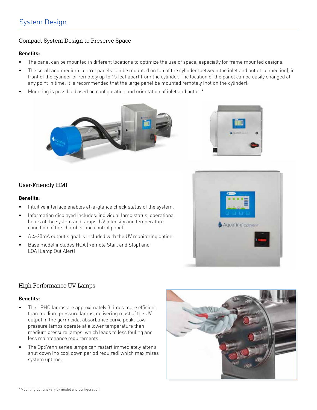# System Design

#### Compact System Design to Preserve Space

#### **Benefits:**

- The panel can be mounted in different locations to optimize the use of space, especially for frame mounted designs.
- The small and medium control panels can be mounted on top of the cylinder (between the inlet and outlet connection), in front of the cylinder or remotely up to 15 feet apart from the cylinder. The location of the panel can be easily changed at any point in time. It is recommended that the large panel be mounted remotely (not on the cylinder).
- Mounting is possible based on configuration and orientation of inlet and outlet.\*





#### User-Friendly HMI

#### **Benefits:**

- Intuitive interface enables at-a-glance check status of the system.
- Information displayed includes: individual lamp status, operational hours of the system and lamps, UV intensity and temperature condition of the chamber and control panel.
- A 4-20mA output signal is included with the UV monitoring option.
- Base model includes HOA (Remote Start and Stop) and LOA (Lamp Out Alert)



#### High Performance UV Lamps

#### **Benefits:**

- The LPHO lamps are approximately 3 times more efficient than medium pressure lamps, delivering most of the UV output in the germicidal absorbance curve peak. Low pressure lamps operate at a lower temperature than medium pressure lamps, which leads to less fouling and less maintenance requirements.
- The OptiVenn series lamps can restart immediately after a shut down (no cool down period required) which maximizes system uptime.

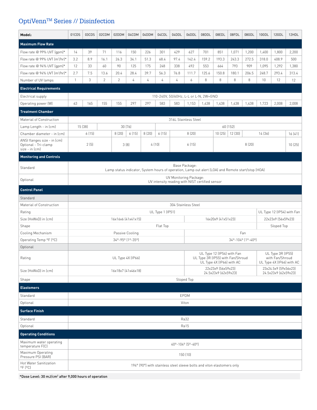# $\mathtt{OptiVenn^{TM}}$  Series // Disinfection

| Model:                                                                | 01CDS                                                                                                               | 03CDS                          | 02CDM          | 02DDM          | 04CDM              | 04DDM | 04CDL            | 04DDL                                                                     | 06DDL               | 08DDL                                                             | 08EDL              | 08FDL   | 08GDL             | 10GDL | 12GDL              | 12HDL                      |
|-----------------------------------------------------------------------|---------------------------------------------------------------------------------------------------------------------|--------------------------------|----------------|----------------|--------------------|-------|------------------|---------------------------------------------------------------------------|---------------------|-------------------------------------------------------------------|--------------------|---------|-------------------|-------|--------------------|----------------------------|
| <b>Maximum Flow Rate</b>                                              |                                                                                                                     |                                |                |                |                    |       |                  |                                                                           |                     |                                                                   |                    |         |                   |       |                    |                            |
| Flow rate @ 99% UVT (qpm)*                                            | 14                                                                                                                  | 39                             | 71             | 116            | 150                | 226   | 301              | 429                                                                       | 627                 | 701                                                               | 851                | 1,071   | 1,200             | 1,400 | 1,800              | 2,200                      |
| Flow rate @ 99% UVT (m <sup>3</sup> /hr)*                             | 3.2                                                                                                                 | 8.9                            | 16.1           | 26.3           | 34.1               | 51.3  | 68.4             | 97.4                                                                      | 142.4               | 159.2                                                             | 193.3              | 243.3   | 272.5             | 318.0 | 408.9              | 500                        |
| Flow rate @ 94% UVT (qpm)*                                            | 12                                                                                                                  | 33                             | 60             | 90             | 125                | 175   | 248              | 338                                                                       | 492                 | 553                                                               | 664                | 793     | 909               | 1,095 | 1,292              | 1,380                      |
| Flow rate @ 94% UVT (m <sup>3</sup> /hr)*                             | 2.7                                                                                                                 | 7.5                            | 13.6           | 20.4           | 28.4               | 39.7  | 56.3             | 76.8                                                                      | 111.7               | 125.6                                                             | 150.8              | 180.1   | 206.5             | 248.7 | 293.4              | 313.4                      |
| Number of UV lamps                                                    | $\mathbf{1}$                                                                                                        | 3                              | $\overline{c}$ | $\overline{c}$ | $\sqrt{4}$         | 4     | $\sqrt{4}$       | 4                                                                         | 6                   | 8                                                                 | 8                  | 8       | 8                 | 10    | 12                 | 12                         |
| <b>Electrical Requirements</b>                                        |                                                                                                                     |                                |                |                |                    |       |                  |                                                                           |                     |                                                                   |                    |         |                   |       |                    |                            |
| Electrical supply                                                     |                                                                                                                     |                                |                |                |                    |       |                  | 110-240V, 50/60Hz, L-L or L-N, 2W+GND                                     |                     |                                                                   |                    |         |                   |       |                    |                            |
| Operating power (W)                                                   | 63                                                                                                                  | 165                            | 155            | 155            | 297                | 297   | 583              | 583                                                                       | 1,153               | 1,438                                                             | 1,438              | 1,438   | 1,438             | 1,723 | 2,008              | 2,008                      |
| <b>Treatment Chamber</b>                                              |                                                                                                                     |                                |                |                |                    |       |                  |                                                                           |                     |                                                                   |                    |         |                   |       |                    |                            |
| Material of Construction                                              | 316L Stainless Steel                                                                                                |                                |                |                |                    |       |                  |                                                                           |                     |                                                                   |                    |         |                   |       |                    |                            |
| Lamp Length - in (cm)                                                 | 15 (38)                                                                                                             |                                |                | 30 (76)        |                    |       |                  |                                                                           |                     |                                                                   | 60 (152)           |         |                   |       |                    |                            |
| Chamber diameter - in (cm)                                            |                                                                                                                     | 6(15)                          |                | 8(20)          | 6(15)              | 8(20) | 6(15)            |                                                                           | 8(20)               |                                                                   | 10(25)             | 12 (30) | 14 (36)           |       |                    | 16(41)                     |
| ANSI flanges size - in (cm)<br>Optional - Tri-clamp<br>size - in (cm) |                                                                                                                     | 2(5)<br>3(8)<br>4(10)<br>6(15) |                |                |                    | 8(20) |                  |                                                                           | 10(25)              |                                                                   |                    |         |                   |       |                    |                            |
| <b>Monitoring and Controls</b>                                        |                                                                                                                     |                                |                |                |                    |       |                  |                                                                           |                     |                                                                   |                    |         |                   |       |                    |                            |
| Standard                                                              | Base Package:<br>Lamp status indicator, System hours of operation, Lamp out alert (LOA) and Remote start/stop (HOA) |                                |                |                |                    |       |                  |                                                                           |                     |                                                                   |                    |         |                   |       |                    |                            |
| Optional                                                              |                                                                                                                     |                                |                |                |                    |       |                  | UV Monitoring Package:<br>UV intensity reading with NIST certified sensor |                     |                                                                   |                    |         |                   |       |                    |                            |
| <b>Control Panel</b>                                                  |                                                                                                                     |                                |                |                |                    |       |                  |                                                                           |                     |                                                                   |                    |         |                   |       |                    |                            |
| Standard                                                              |                                                                                                                     |                                |                |                |                    |       |                  |                                                                           |                     |                                                                   |                    |         |                   |       |                    |                            |
| Material of Construction                                              |                                                                                                                     |                                |                |                |                    |       |                  |                                                                           | 304 Stainless Steel |                                                                   |                    |         |                   |       |                    |                            |
| Rating                                                                |                                                                                                                     |                                |                |                |                    |       | UL Type 1 (IP51) |                                                                           |                     |                                                                   |                    |         |                   |       |                    | UL Type 12 (IP54) with Fan |
| Size (HxWxD) in (cm)                                                  |                                                                                                                     |                                |                |                | 16x16x6 (41x41x15) |       |                  |                                                                           |                     |                                                                   | 16x20x9 (41x51x23) |         |                   |       | 22x23x9 (56x59x23) |                            |
| Shape                                                                 |                                                                                                                     |                                |                |                |                    |       | Flat Top         |                                                                           |                     |                                                                   |                    |         |                   |       | Sloped Top         |                            |
| Cooling Mechanism                                                     |                                                                                                                     |                                |                |                | Passive Cooling    |       |                  |                                                                           |                     |                                                                   |                    |         | Fan               |       |                    |                            |
| Operating Temp <sup>o</sup> F (°C)                                    |                                                                                                                     |                                |                |                | 340-950 [10-350]   |       |                  |                                                                           |                     |                                                                   |                    |         | 34°-104° (1°-40°) |       |                    |                            |
| Optional                                                              |                                                                                                                     |                                |                |                |                    |       |                  |                                                                           |                     |                                                                   |                    |         |                   |       |                    |                            |
| Rating                                                                | UL Type 12 (IP54) with Fan<br>UL Type 4X (IP66)                                                                     |                                |                |                |                    |       |                  | UL Type 3R (IP55) with Fan/Shroud<br>UL Type 4X (IP66) with AC            |                     | UL Type 3R (IP55)<br>with Fan/Shroud<br>UL Type 4X (IP66) with AC |                    |         |                   |       |                    |                            |
| Size (HxWxD) in (cm)                                                  | 22x23x9 (56x59x23)<br>23x24.5x9 (59x56x23)<br>16x18x7 (41x46x18)<br>24.5x23x9 (62x59x23)<br>24.5x23x9 (62x59x23)    |                                |                |                |                    |       |                  |                                                                           |                     |                                                                   |                    |         |                   |       |                    |                            |
| Shape                                                                 | Sloped Top                                                                                                          |                                |                |                |                    |       |                  |                                                                           |                     |                                                                   |                    |         |                   |       |                    |                            |
| <b>Elastomers</b>                                                     |                                                                                                                     |                                |                |                |                    |       |                  |                                                                           |                     |                                                                   |                    |         |                   |       |                    |                            |
| Standard                                                              | EPDM                                                                                                                |                                |                |                |                    |       |                  |                                                                           |                     |                                                                   |                    |         |                   |       |                    |                            |
| Optional                                                              | Viton                                                                                                               |                                |                |                |                    |       |                  |                                                                           |                     |                                                                   |                    |         |                   |       |                    |                            |
| <b>Surface Finish</b>                                                 |                                                                                                                     |                                |                |                |                    |       |                  |                                                                           |                     |                                                                   |                    |         |                   |       |                    |                            |
| Standard                                                              | Ra32                                                                                                                |                                |                |                |                    |       |                  |                                                                           |                     |                                                                   |                    |         |                   |       |                    |                            |
| Optional                                                              | Ra15                                                                                                                |                                |                |                |                    |       |                  |                                                                           |                     |                                                                   |                    |         |                   |       |                    |                            |
| <b>Operating Conditions</b>                                           |                                                                                                                     |                                |                |                |                    |       |                  |                                                                           |                     |                                                                   |                    |         |                   |       |                    |                            |
| Maximum water operating<br>temperature F(C)                           | 40°-104° (5°-40°)                                                                                                   |                                |                |                |                    |       |                  |                                                                           |                     |                                                                   |                    |         |                   |       |                    |                            |
| Maximum Operating<br>Pressure PSI (BAR)                               | 150 (10)                                                                                                            |                                |                |                |                    |       |                  |                                                                           |                     |                                                                   |                    |         |                   |       |                    |                            |
| Hot Water Sanitization<br>$^{\circ}$ F $[^{\circ}$ C $]$              | 194° (90°) with stainless steel sleeve bolts and viton elastomers only                                              |                                |                |                |                    |       |                  |                                                                           |                     |                                                                   |                    |         |                   |       |                    |                            |

\*Dose Level: 30 mJ/cm2 after 9,000 hours of operation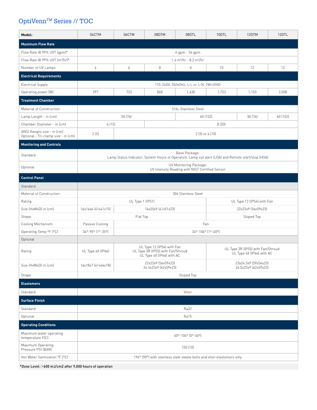# OptiVenn™ Series // TOC

| Model:                                                             | 04CTM                                                                                                               | 06CTM                                                                                        | 08DTM                                      | 08DTL               | 10DTL                                                          | 12DTM                      | 12DTL |  |  |  |  |
|--------------------------------------------------------------------|---------------------------------------------------------------------------------------------------------------------|----------------------------------------------------------------------------------------------|--------------------------------------------|---------------------|----------------------------------------------------------------|----------------------------|-------|--|--|--|--|
| <b>Maximum Flow Rate</b>                                           |                                                                                                                     |                                                                                              |                                            |                     |                                                                |                            |       |  |  |  |  |
| Flow Rate @ 99% UVT (gpm)*<br>6 gpm - 36 gpm                       |                                                                                                                     |                                                                                              |                                            |                     |                                                                |                            |       |  |  |  |  |
| Flow Rate @ 99% UVT (m <sup>3</sup> /hr)*                          | $1.4 \text{ m}^3/\text{hr}$ - 8.2 m <sup>3</sup> /hr                                                                |                                                                                              |                                            |                     |                                                                |                            |       |  |  |  |  |
| Number of UV Lamps                                                 | 4<br>6<br>8                                                                                                         |                                                                                              |                                            | 8                   | 10                                                             | 12                         | 12    |  |  |  |  |
| <b>Electrical Requirements</b>                                     |                                                                                                                     |                                                                                              |                                            |                     |                                                                |                            |       |  |  |  |  |
| <b>Electrical Supply</b>                                           | 110-240V, 50/60Hz, L-L or L-N, 2W+GND                                                                               |                                                                                              |                                            |                     |                                                                |                            |       |  |  |  |  |
| Operating power (W)                                                | 297<br>723<br>868                                                                                                   |                                                                                              |                                            | 1,438               | 1,723                                                          | 1,153                      | 2,008 |  |  |  |  |
| <b>Treatment Chamber</b>                                           |                                                                                                                     |                                                                                              |                                            |                     |                                                                |                            |       |  |  |  |  |
| Material of Construction<br>316L Stainless Steel                   |                                                                                                                     |                                                                                              |                                            |                     |                                                                |                            |       |  |  |  |  |
| Lamp Length - in (cm)                                              |                                                                                                                     | 30 (76)                                                                                      |                                            |                     | 60 (152)                                                       | 60 (152)                   |       |  |  |  |  |
| Chamber Diameter - in (cm)                                         | 6(15)                                                                                                               |                                                                                              |                                            | 8(20)               |                                                                |                            |       |  |  |  |  |
| ANSI flanges size - in (cm)<br>Optional - Tri-clamp size - in (cm) | 2(5)                                                                                                                | $2(5)$ or $4(10)$                                                                            |                                            |                     |                                                                |                            |       |  |  |  |  |
| <b>Monitoring and Controls</b>                                     |                                                                                                                     |                                                                                              |                                            |                     |                                                                |                            |       |  |  |  |  |
| Standard                                                           | Base Package:<br>Lamp Status Indicator, System Hours of Operation, Lamp out alert (LOA) and Remote start/stop (HOA) |                                                                                              |                                            |                     |                                                                |                            |       |  |  |  |  |
| Optional                                                           | UV Monitoring Package:<br>UV Intensity Reading with NIST Certified Sensor                                           |                                                                                              |                                            |                     |                                                                |                            |       |  |  |  |  |
| <b>Control Panel</b>                                               |                                                                                                                     |                                                                                              |                                            |                     |                                                                |                            |       |  |  |  |  |
| Standard                                                           |                                                                                                                     |                                                                                              |                                            |                     |                                                                |                            |       |  |  |  |  |
| Material of Construction                                           |                                                                                                                     |                                                                                              |                                            | 304 Stainless Steel |                                                                |                            |       |  |  |  |  |
| Rating                                                             |                                                                                                                     | UL Type 1 (IP51)                                                                             |                                            |                     |                                                                | UL Type 12 (IP54) with Fan |       |  |  |  |  |
| Size (HxWxD) in (cm)                                               | 16x16x6 (41x41x15)                                                                                                  |                                                                                              | 16x20x9 (41x51x23)                         |                     |                                                                | 22x23x9 (56x59x23)         |       |  |  |  |  |
| Shape                                                              |                                                                                                                     | Flat Top                                                                                     |                                            |                     |                                                                | Sloped Top                 |       |  |  |  |  |
| Cooling Mechanism                                                  | Passive Cooling                                                                                                     |                                                                                              |                                            |                     | Fan                                                            |                            |       |  |  |  |  |
| Operating Temp °F (°C)                                             | 34°-95° (1°-35°)                                                                                                    |                                                                                              |                                            |                     | 34°-104° (1°-40°)                                              |                            |       |  |  |  |  |
| Optional                                                           |                                                                                                                     |                                                                                              |                                            |                     |                                                                |                            |       |  |  |  |  |
| Rating                                                             | UL Type 4X (IP66)                                                                                                   | UL Type 12 (IP54) with Fan<br>UL Type 3R (IP55) with Fan/Shroud<br>UL Type 4X (IP66) with AC |                                            |                     | UL Type 3R (IP55) with Fan/Shroud<br>UL Type 4X (IP66) with AC |                            |       |  |  |  |  |
| Size (HxWxD) in (cm)                                               | 16x18x7 (41x46x18)                                                                                                  |                                                                                              | 22x23x9 (56x59x23)<br>24.5x23x9 (62x59x23) |                     | 23x24.5x9 (59x56x23)<br>24.5x23x9 (62x59x23)                   |                            |       |  |  |  |  |
| Shape                                                              | Sloped Top                                                                                                          |                                                                                              |                                            |                     |                                                                |                            |       |  |  |  |  |
| <b>Elastomers</b>                                                  |                                                                                                                     |                                                                                              |                                            |                     |                                                                |                            |       |  |  |  |  |
| Standard<br>Viton                                                  |                                                                                                                     |                                                                                              |                                            |                     |                                                                |                            |       |  |  |  |  |
| <b>Surface Finish</b>                                              |                                                                                                                     |                                                                                              |                                            |                     |                                                                |                            |       |  |  |  |  |
| Standard                                                           | Ra32                                                                                                                |                                                                                              |                                            |                     |                                                                |                            |       |  |  |  |  |
| Optional                                                           | Ra15                                                                                                                |                                                                                              |                                            |                     |                                                                |                            |       |  |  |  |  |
| <b>Operating Conditions</b>                                        |                                                                                                                     |                                                                                              |                                            |                     |                                                                |                            |       |  |  |  |  |
| Maximum water operating<br>temperature F(C)                        | 40°-104° (5°-40°)                                                                                                   |                                                                                              |                                            |                     |                                                                |                            |       |  |  |  |  |
| Maximum Operating<br>Pressure PSI (BAR)                            | 150 (10)                                                                                                            |                                                                                              |                                            |                     |                                                                |                            |       |  |  |  |  |
| Hot Water Sanitization <sup>o</sup> F (°C)                         | 194° (90°) with stainless steel sleeve bolts and viton elastomers only                                              |                                                                                              |                                            |                     |                                                                |                            |       |  |  |  |  |

\*Dose Level: >600 mJ/cm2 after 9,000 hours of operation